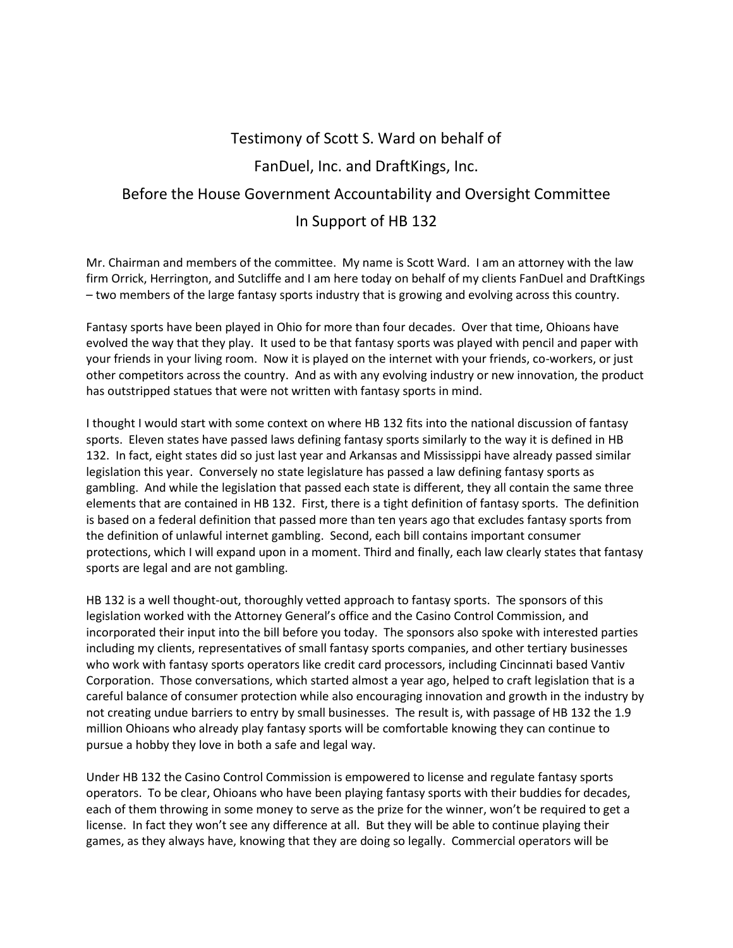## Testimony of Scott S. Ward on behalf of FanDuel, Inc. and DraftKings, Inc. Before the House Government Accountability and Oversight Committee In Support of HB 132

Mr. Chairman and members of the committee. My name is Scott Ward. I am an attorney with the law firm Orrick, Herrington, and Sutcliffe and I am here today on behalf of my clients FanDuel and DraftKings – two members of the large fantasy sports industry that is growing and evolving across this country.

Fantasy sports have been played in Ohio for more than four decades. Over that time, Ohioans have evolved the way that they play. It used to be that fantasy sports was played with pencil and paper with your friends in your living room. Now it is played on the internet with your friends, co-workers, or just other competitors across the country. And as with any evolving industry or new innovation, the product has outstripped statues that were not written with fantasy sports in mind.

I thought I would start with some context on where HB 132 fits into the national discussion of fantasy sports. Eleven states have passed laws defining fantasy sports similarly to the way it is defined in HB 132. In fact, eight states did so just last year and Arkansas and Mississippi have already passed similar legislation this year. Conversely no state legislature has passed a law defining fantasy sports as gambling. And while the legislation that passed each state is different, they all contain the same three elements that are contained in HB 132. First, there is a tight definition of fantasy sports. The definition is based on a federal definition that passed more than ten years ago that excludes fantasy sports from the definition of unlawful internet gambling. Second, each bill contains important consumer protections, which I will expand upon in a moment. Third and finally, each law clearly states that fantasy sports are legal and are not gambling.

HB 132 is a well thought-out, thoroughly vetted approach to fantasy sports. The sponsors of this legislation worked with the Attorney General's office and the Casino Control Commission, and incorporated their input into the bill before you today. The sponsors also spoke with interested parties including my clients, representatives of small fantasy sports companies, and other tertiary businesses who work with fantasy sports operators like credit card processors, including Cincinnati based Vantiv Corporation. Those conversations, which started almost a year ago, helped to craft legislation that is a careful balance of consumer protection while also encouraging innovation and growth in the industry by not creating undue barriers to entry by small businesses. The result is, with passage of HB 132 the 1.9 million Ohioans who already play fantasy sports will be comfortable knowing they can continue to pursue a hobby they love in both a safe and legal way.

Under HB 132 the Casino Control Commission is empowered to license and regulate fantasy sports operators. To be clear, Ohioans who have been playing fantasy sports with their buddies for decades, each of them throwing in some money to serve as the prize for the winner, won't be required to get a license. In fact they won't see any difference at all. But they will be able to continue playing their games, as they always have, knowing that they are doing so legally. Commercial operators will be